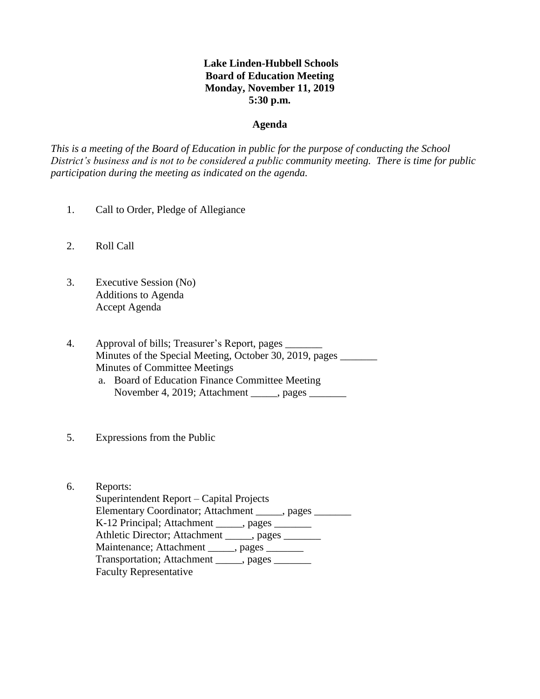## **Lake Linden-Hubbell Schools Board of Education Meeting Monday, November 11, 2019 5:30 p.m.**

#### **Agenda**

*This is a meeting of the Board of Education in public for the purpose of conducting the School District's business and is not to be considered a public community meeting. There is time for public participation during the meeting as indicated on the agenda.*

- 1. Call to Order, Pledge of Allegiance
- 2. Roll Call
- 3. Executive Session (No) Additions to Agenda Accept Agenda
- 4. Approval of bills; Treasurer's Report, pages \_\_\_\_\_\_\_ Minutes of the Special Meeting, October 30, 2019, pages Minutes of Committee Meetings
	- a. Board of Education Finance Committee Meeting November 4, 2019; Attachment \_\_\_\_\_, pages \_\_\_\_\_\_\_
- 5. Expressions from the Public
- 6. Reports:

 Superintendent Report – Capital Projects Elementary Coordinator; Attachment \_\_\_\_\_, pages \_\_\_\_\_\_\_ K-12 Principal; Attachment \_\_\_\_\_, pages \_\_\_\_\_\_\_ Athletic Director; Attachment \_\_\_\_\_, pages \_\_\_\_\_\_ Maintenance; Attachment \_\_\_\_\_, pages \_\_\_\_\_\_ Transportation; Attachment \_\_\_\_\_, pages \_\_\_\_\_\_\_ Faculty Representative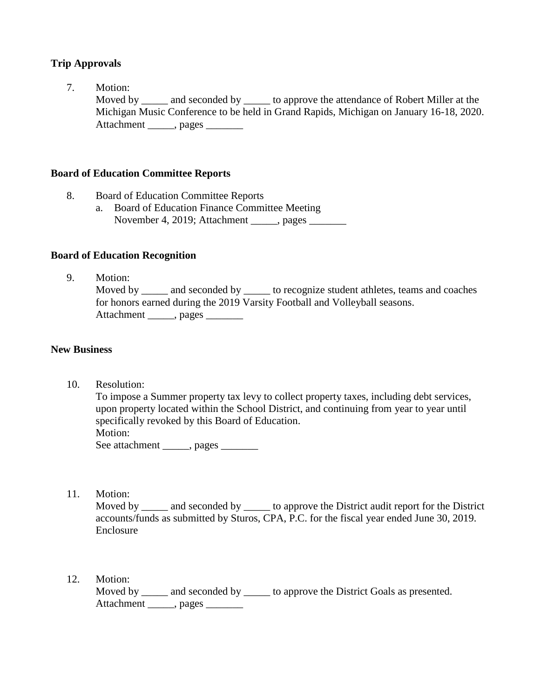## **Trip Approvals**

7. Motion: Moved by \_\_\_\_\_ and seconded by \_\_\_\_\_ to approve the attendance of Robert Miller at the Michigan Music Conference to be held in Grand Rapids, Michigan on January 16-18, 2020. Attachment \_\_\_\_\_, pages \_\_\_\_\_\_\_

### **Board of Education Committee Reports**

- 8.Board of Education Committee Reports
	- a. Board of Education Finance Committee Meeting November 4, 2019; Attachment , pages

### **Board of Education Recognition**

9. Motion:

Moved by \_\_\_\_\_ and seconded by \_\_\_\_\_\_ to recognize student athletes, teams and coaches for honors earned during the 2019 Varsity Football and Volleyball seasons. Attachment \_\_\_\_\_, pages \_\_\_\_\_\_\_

#### **New Business**

10. Resolution:

 To impose a Summer property tax levy to collect property taxes, including debt services, upon property located within the School District, and continuing from year to year until specifically revoked by this Board of Education. Motion: See attachment \_\_\_\_\_, pages \_\_\_\_\_\_

11. Motion:

Moved by \_\_\_\_\_ and seconded by \_\_\_\_\_\_ to approve the District audit report for the District accounts/funds as submitted by Sturos, CPA, P.C. for the fiscal year ended June 30, 2019. Enclosure

12. Motion:

Moved by \_\_\_\_\_ and seconded by \_\_\_\_\_ to approve the District Goals as presented. Attachment \_\_\_\_\_, pages \_\_\_\_\_\_\_